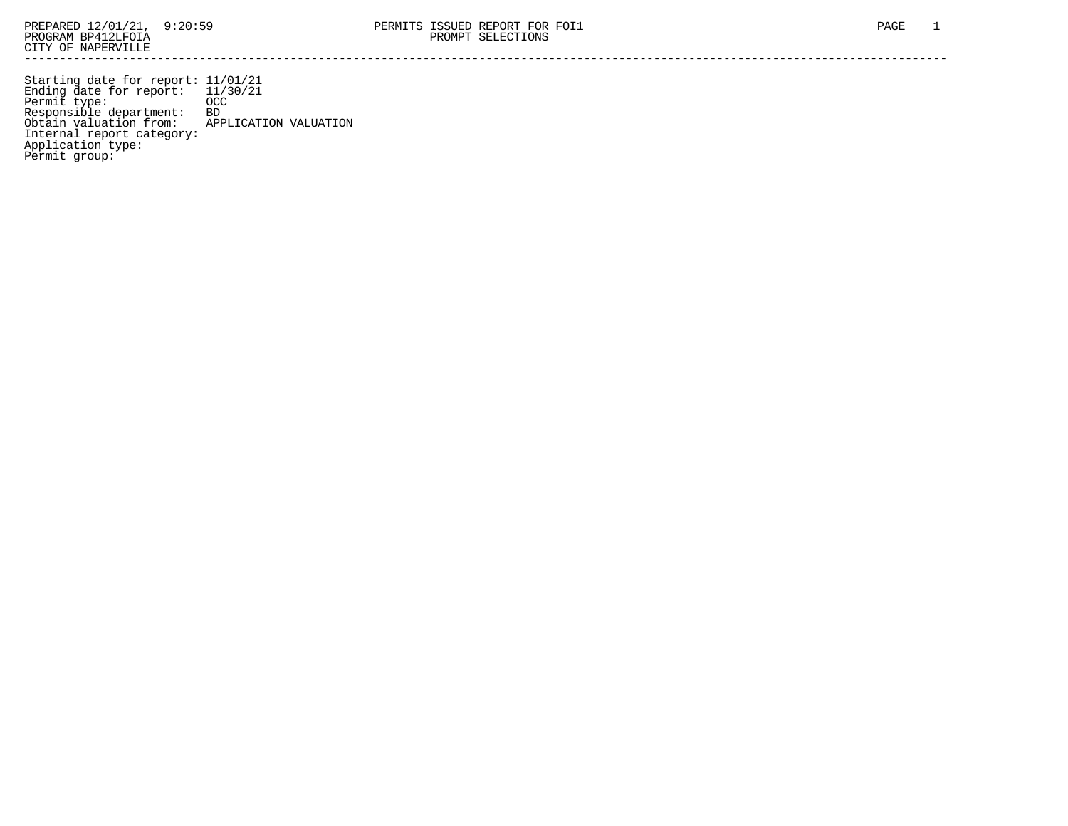Starting date for report: 11/01/21 Ending date for report: 11/30/21 Permit type: OCC Responsible department: BD Obtain valuation from: APPLICATION VALUATION Internal report category: Application type: Permit group: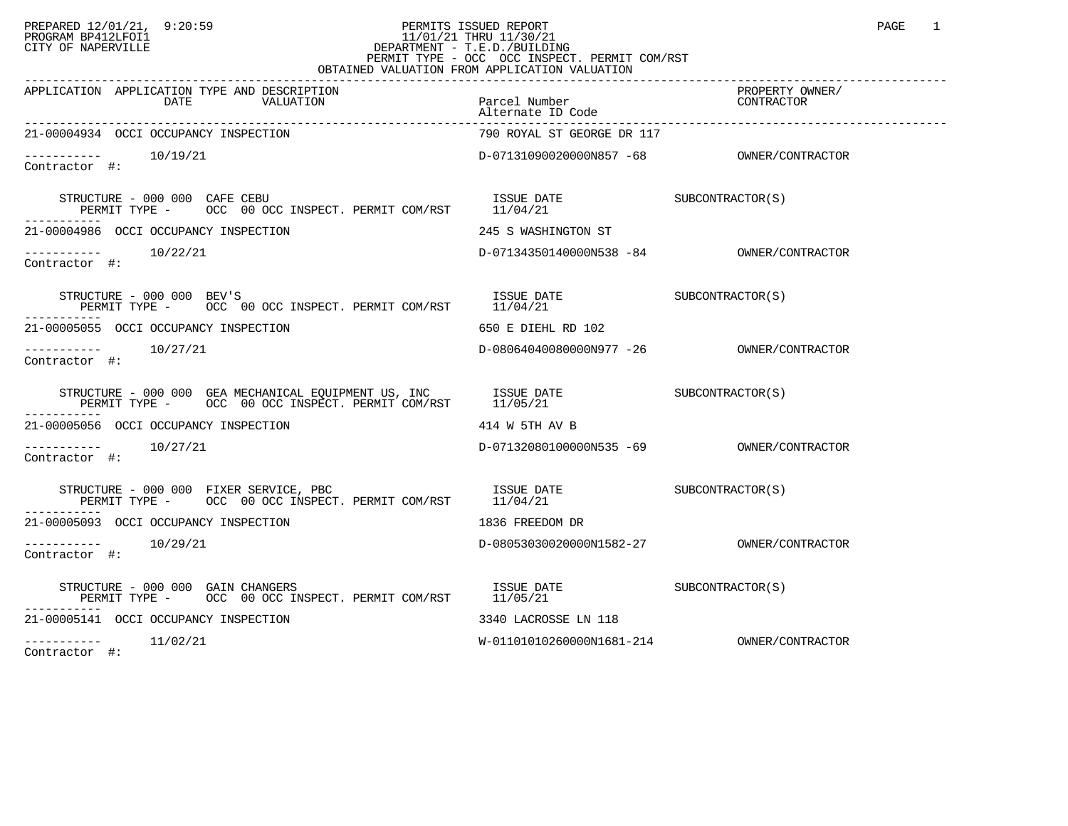## PREPARED 12/01/21, 9:20:59 PERMITS ISSUED REPORT PAGE 1 PROGRAM BP412LFOI1 11/01/21 THRU 11/30/21 CITY OF NAPERVILLE **Example 20** CITY OF NAPERVILLE PERMIT TYPE - OCC OCC INSPECT. PERMIT COM/RST OBTAINED VALUATION FROM APPLICATION VALUATION

| APPLICATION APPLICATION TYPE AND DESCRIPTION<br>DATE<br>VALUATION                                                                                                                                                                                                                                                                                                                                                                                                             | Parcel Number<br>Alternate ID Code | PROPERTY OWNER/<br>CONTEACTO |
|-------------------------------------------------------------------------------------------------------------------------------------------------------------------------------------------------------------------------------------------------------------------------------------------------------------------------------------------------------------------------------------------------------------------------------------------------------------------------------|------------------------------------|------------------------------|
| 21-00004934 OCCI OCCUPANCY INSPECTION                                                                                                                                                                                                                                                                                                                                                                                                                                         | 790 ROYAL ST GEORGE DR 117         |                              |
| $--------$ 10/19/21<br>Contractor #:                                                                                                                                                                                                                                                                                                                                                                                                                                          |                                    |                              |
| $\begin{tabular}{lllllll} \texttt{STRUCTURE} & $\color{red}000$ & $\color{red}000$ & $\color{red}CAEE$ & $\color{red}CEBU$ & $\color{red}CDE$ & $\color{red}TSE$ & $\color{red}CDE$ & $\color{red}CDE$ & $\color{red}CDE$ & $\color{red}CDE$ & $\color{red}CDE$ & $\color{red}DDE$ & $\color{red}CDE$ & $\color{red}CDE$ & $\color{red}DDE$ & $\color{red}CDE$ & $\color{red}CDE$ & $\color{red}DDE$ & $\color{red}CDE$ & $\color{red}CDE$ & $\color{red}DDE$ & $\color{red}$ |                                    |                              |
| 21-00004986 OCCI OCCUPANCY INSPECTION                                                                                                                                                                                                                                                                                                                                                                                                                                         | 245 S WASHINGTON ST                |                              |
| $\begin{tabular}{ll} --------& 10/22/21\\ \textbf{Contractor} & \#: & \end{tabular}$                                                                                                                                                                                                                                                                                                                                                                                          |                                    |                              |
| $\begin{array}{lllll} \texttt{STRUCTURE} & - & 000 & 000 & \texttt{BEV'S} & & & & \texttt{ISSUE} & \texttt{DATE} & & & \texttt{SUBCONTRACTOR(S)} \\ \texttt{PERMIT TYPE} & - & \texttt{OCC} & 00 & \texttt{OCC} & \texttt{INSERT} & \texttt{PERMIT COM/RST} & & 11/04/21 & & & & \end{array}$                                                                                                                                                                                 |                                    |                              |
| 21-00005055 OCCI OCCUPANCY INSPECTION                                                                                                                                                                                                                                                                                                                                                                                                                                         | 650 E DIEHL RD 102                 |                              |
| $--------- 10/27/21$<br>Contractor #:                                                                                                                                                                                                                                                                                                                                                                                                                                         |                                    |                              |
| STRUCTURE - 000 000 GEA MECHANICAL EQUIPMENT US, INC         ISSUE DATE                          SUBCONTRACTOR(S)<br>PERMIT TYPE -        OCC   00 OCC INSPECT. PERMIT COM/RST        11/05/21                                                                                                                                                                                                                                                                                |                                    |                              |
| 21-00005056 OCCI OCCUPANCY INSPECTION                                                                                                                                                                                                                                                                                                                                                                                                                                         | 414 W 5TH AV B                     |                              |
| $--------- 10/27/21$<br>Contractor #:                                                                                                                                                                                                                                                                                                                                                                                                                                         |                                    |                              |
| $\begin{tabular}{lllllll} \texttt{STRUCTURE} & - & 000 & 000 & \texttt{FIXER} & \texttt{SERVICE}, & \texttt{PBC} & \texttt{ISSUE} & \texttt{DATE} & \texttt{SUBCONTRACTOR(S)} \\ \texttt{PERMIT TYPE} & - & \texttt{OCC} & 00 & \texttt{OCC} & \texttt{INSPECT}. & \texttt{PERMIT COM/RST} & & 11/04/21 & \end{tabular}$                                                                                                                                                      |                                    |                              |
| 21-00005093 OCCI OCCUPANCY INSPECTION                                                                                                                                                                                                                                                                                                                                                                                                                                         | 1836 FREEDOM DR                    |                              |
| $--------- 10/29/21$<br>Contractor #:                                                                                                                                                                                                                                                                                                                                                                                                                                         |                                    |                              |
| $\begin{array}{cccc} \texttt{STRUCTURE} & - & 000 & 000 & \texttt{GAIN CHANGERS} \\ \texttt{PERMIT} & \texttt{OCC} & 00 & \texttt{OCC} & \texttt{INSERT} & \texttt{PERMIT} & \texttt{COM/RST} \\ \end{array} \qquad \begin{array}{cccc} \texttt{ISSUE} & \texttt{DATE} \\ 11/05/21 & \end{array} \qquad \begin{array}{cccc} \texttt{SUBCONTRACTOR(S)} \\ \end{array}$                                                                                                         |                                    |                              |
| 21-00005141 OCCI OCCUPANCY INSPECTION                                                                                                                                                                                                                                                                                                                                                                                                                                         | 3340 LACROSSE LN 118               |                              |
| $---------$ 11/02/21<br>$\alpha$ and $\alpha$ is a set of $\alpha$ is a set of $\alpha$ is a set of $\alpha$ is a set of $\alpha$                                                                                                                                                                                                                                                                                                                                             |                                    |                              |

Contractor #: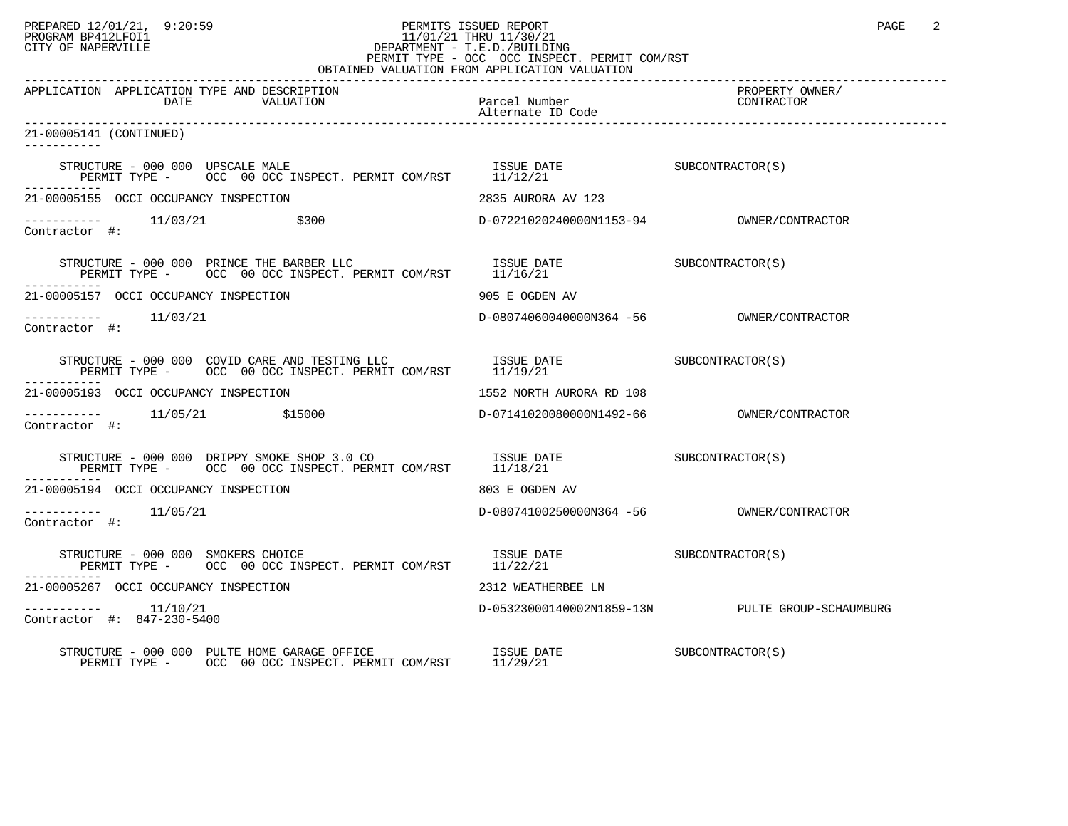## PREPARED 12/01/21, 9:20:59 PERMITS ISSUED REPORT PAGE 2 PROGRAM BP412LFOI1 11/01/21 THRU 11/30/21 CITY OF NAPERVILLE **Example 20** CITY OF NAPERVILLE PERMIT TYPE - OCC OCC INSPECT. PERMIT COM/RST

| OBTAINED VALUATION FROM APPLICATION VALUATION                                                                                                                                                                                                                                                                                                                                                                                                                                              |                                    |                                                  |  |  |  |
|--------------------------------------------------------------------------------------------------------------------------------------------------------------------------------------------------------------------------------------------------------------------------------------------------------------------------------------------------------------------------------------------------------------------------------------------------------------------------------------------|------------------------------------|--------------------------------------------------|--|--|--|
| APPLICATION APPLICATION TYPE AND DESCRIPTION<br>DATE<br>VALUATION                                                                                                                                                                                                                                                                                                                                                                                                                          | Parcel Number<br>Alternate ID Code | PROPERTY OWNER/<br>CONTRACTOR                    |  |  |  |
| 21-00005141 (CONTINUED)                                                                                                                                                                                                                                                                                                                                                                                                                                                                    |                                    |                                                  |  |  |  |
| $\begin{array}{cccc} \texttt{STRUCTURE} & - & 000 & 000 & \texttt{UPSCALE} \texttt{ MALE} \\ \texttt{PERMIT} & \texttt{OCC} & 00 & \texttt{OCC} \texttt{INSPECT.} \texttt{ PERMIT COM/RST} & 11/12/21 & \\ \end{array} \qquad \begin{array}{cccc} \texttt{ISSUE} & \texttt{DATE} \\ 11/12/21 & \end{array} \qquad \begin{array}{cccc} \texttt{SUBCONTRACTOR(S)} & \texttt{SUBCONTRACTOR(S)} \\ \texttt{SUSCONTRACTOR(S)} & \texttt{SUSCONTRACTOR(S)} \\ \end{array$                        |                                    |                                                  |  |  |  |
| 21-00005155 OCCI OCCUPANCY INSPECTION                                                                                                                                                                                                                                                                                                                                                                                                                                                      | 2835 AURORA AV 123                 |                                                  |  |  |  |
| $--------- 11/03/21$ \$300<br>Contractor #:                                                                                                                                                                                                                                                                                                                                                                                                                                                |                                    |                                                  |  |  |  |
| $\begin{array}{lllllll} \texttt{STRUCTURE} & - & 000 & 000 & \texttt{PRINCE THE BARENT LLC} & & & & & & \\ \texttt{ISSUE DATE} & & & & & & & \\ \texttt{PERMIT TYPE} & - & & \texttt{OCC} & 00 & \texttt{OCC INSPECT. PERMIT COM/RST} & & & & \\ \end{array} \qquad \begin{array}{lllll} \texttt{ISSUE} & \texttt{DATE} & & & & & \\ \texttt{ISSUE} & \texttt{DATE} & & & & \\ \texttt{I1/I6/21} & & & & & \\ \end{array}$                                                                 |                                    |                                                  |  |  |  |
| 21-00005157 OCCI OCCUPANCY INSPECTION                                                                                                                                                                                                                                                                                                                                                                                                                                                      | 905 E OGDEN AV                     |                                                  |  |  |  |
| $--------- 11/03/21$<br>Contractor #:                                                                                                                                                                                                                                                                                                                                                                                                                                                      |                                    |                                                  |  |  |  |
|                                                                                                                                                                                                                                                                                                                                                                                                                                                                                            |                                    |                                                  |  |  |  |
| 21-00005193 OCCI OCCUPANCY INSPECTION                                                                                                                                                                                                                                                                                                                                                                                                                                                      | 1552 NORTH AURORA RD 108           |                                                  |  |  |  |
| $--------- 11/05/21$ \$15000<br>Contractor #:                                                                                                                                                                                                                                                                                                                                                                                                                                              |                                    |                                                  |  |  |  |
| $\begin{tabular}{lllllll} \multicolumn{2}{l}{{\small\texttt{STRUCTURE}}} & - & 000 & 000 & \multicolumn{2}{l}{\small\texttt{DRIPPY}} & \multicolumn{2}{l}{\small\texttt{SMOR}} & \multicolumn{2}{l}{\small\texttt{SCONTRACTOR}} & \multicolumn{2}{l}{\small\texttt{SUE}} & \multicolumn{2}{l}{\small\texttt{SUE}} & \multicolumn{2}{l}{\small\texttt{SUE}} & \multicolumn{2}{l}{\small\texttt{SUE}} & \multicolumn{2}{l}{\small\texttt{SUE}} & \multicolumn{2}{l}{\small\texttt{SUE}} & \$ |                                    |                                                  |  |  |  |
| 21-00005194 OCCI OCCUPANCY INSPECTION                                                                                                                                                                                                                                                                                                                                                                                                                                                      | 803 E OGDEN AV                     |                                                  |  |  |  |
| -----------    11/05/21<br>Contractor #:                                                                                                                                                                                                                                                                                                                                                                                                                                                   |                                    |                                                  |  |  |  |
| $\begin{array}{cccccc} \texttt{STRUCTURE} & - & 000 & 000 & \texttt{SMOKERS CHOICE} & & & & \\ \texttt{TSSUE} & \texttt{DATE} & & & & & \\ \texttt{SUBCONTRACTOR(S)} & & & & & \\ \texttt{SUBCONTRACTOR(S)} & & & & & \\ \end{array}$<br>PERMIT TYPE - OCC 00 OCC INSPECT. PERMIT COM/RST                                                                                                                                                                                                  |                                    |                                                  |  |  |  |
| 21-00005267 OCCI OCCUPANCY INSPECTION                                                                                                                                                                                                                                                                                                                                                                                                                                                      | 2312 WEATHERBEE LN                 |                                                  |  |  |  |
| $--------- 11/10/21$<br>Contractor #: 847-230-5400                                                                                                                                                                                                                                                                                                                                                                                                                                         |                                    | D-05323000140002N1859-13N PULTE GROUP-SCHAUMBURG |  |  |  |
|                                                                                                                                                                                                                                                                                                                                                                                                                                                                                            |                                    |                                                  |  |  |  |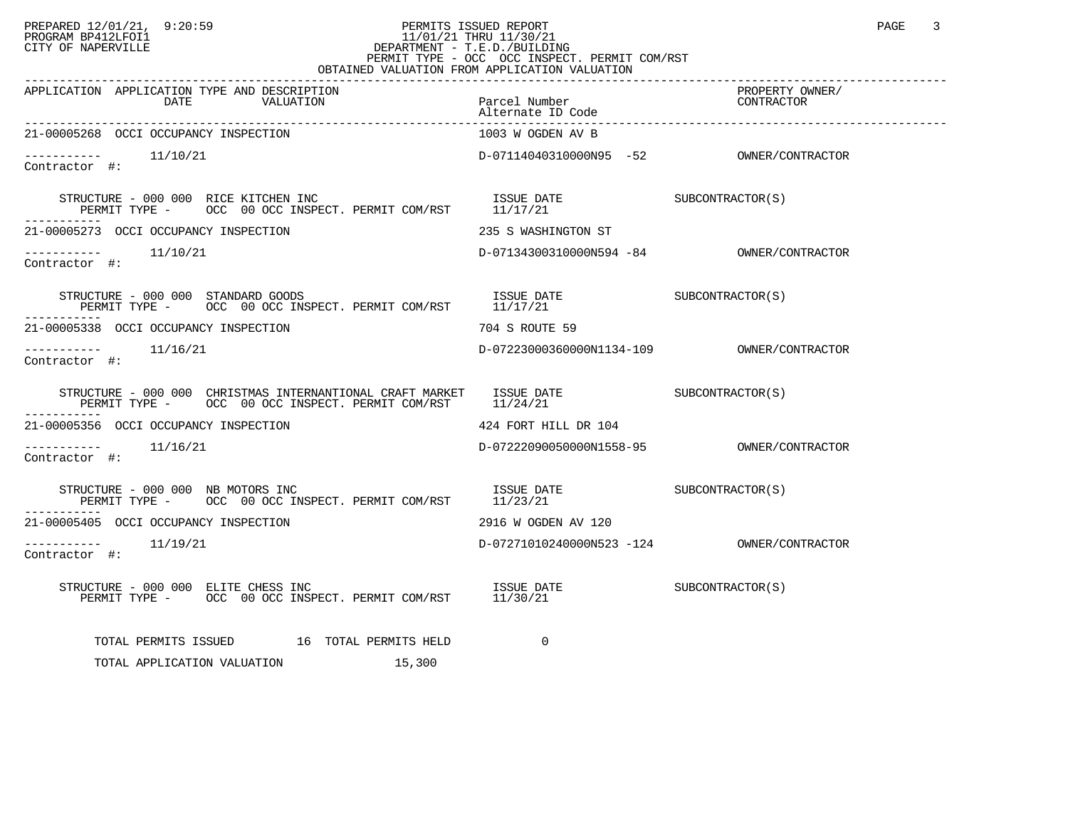## PREPARED 12/01/21, 9:20:59 PERMITS ISSUED REPORT PAGE 3 PROGRAM BP412LFOI1 11/01/21 THRU 11/30/21 CITY OF NAPERVILLE **Example 20** CITY OF NAPERVILLE PERMIT TYPE - OCC OCC INSPECT. PERMIT COM/RST OBTAINED VALUATION FROM APPLICATION VALUATION

| APPLICATION APPLICATION TYPE AND DESCRIPTION<br>DATE<br>VALUATION                                                                                                                                                                                                                                                                                                                                                                                    | Parcel Number<br>Alternate ID Code       | PROPERTY OWNER/<br>CONTRACTOR |
|------------------------------------------------------------------------------------------------------------------------------------------------------------------------------------------------------------------------------------------------------------------------------------------------------------------------------------------------------------------------------------------------------------------------------------------------------|------------------------------------------|-------------------------------|
| 21-00005268 OCCI OCCUPANCY INSPECTION                                                                                                                                                                                                                                                                                                                                                                                                                | 1003 W OGDEN AV B                        |                               |
| $--------$ 11/10/21<br>Contractor #:                                                                                                                                                                                                                                                                                                                                                                                                                 | D-07114040310000N95 -52 OWNER/CONTRACTOR |                               |
| STRUCTURE - 000 000 RICE KITCHEN INC<br>RUCTURE – 000 000 RICE KITCHEN INC<br>PERMIT TYPE – OCC 00 OCC INSPECT. PERMIT COM/RST 11/17/21<br>-----------                                                                                                                                                                                                                                                                                               |                                          |                               |
| 21-00005273 OCCI OCCUPANCY INSPECTION                                                                                                                                                                                                                                                                                                                                                                                                                | 235 S WASHINGTON ST                      |                               |
| $--------- 11/10/21$<br>Contractor #:                                                                                                                                                                                                                                                                                                                                                                                                                |                                          |                               |
| $\begin{tabular}{lllllll} \texttt{STRUCTURE} & - & 000 & 000 & \texttt{STANDARD GOOD} & & & & & & & & & \\ \texttt{DERMIT TYPE} & - & & \texttt{OCC} & 00 & \texttt{OCC} & \texttt{INSPECT. PERMIT COM/RST} & & & & & & & \\ \end{tabular} \begin{tabular}{lllllll} \texttt{LSTN} & & & \texttt{SUE} & \texttt{DATE} & & & & & & & & \\ \texttt{SUE} & \texttt{DATE} & & & & & & & \\ \texttt{DERMIT TYPE} & - & & \texttt{OCC} & 00 & \texttt{OCC}$ |                                          |                               |
| 21-00005338 OCCI OCCUPANCY INSPECTION                                                                                                                                                                                                                                                                                                                                                                                                                | 704 S ROUTE 59                           |                               |
| $---------$ 11/16/21<br>Contractor #:                                                                                                                                                                                                                                                                                                                                                                                                                |                                          |                               |
|                                                                                                                                                                                                                                                                                                                                                                                                                                                      |                                          |                               |
| 21-00005356 OCCI OCCUPANCY INSPECTION                                                                                                                                                                                                                                                                                                                                                                                                                | 424 FORT HILL DR 104                     |                               |
| $--------$ 11/16/21<br>Contractor #:                                                                                                                                                                                                                                                                                                                                                                                                                 |                                          |                               |
| $\begin{tabular}{lllllll} \multicolumn{2}{l}{{\small\tt STRUCTURE}}&-&000&000&\text{NB}~\text{MOTORS}~\text{INC}\\ &{\small\tt PERMIT~TYPE}&-&\text{OCC}&00~\text{OCC}~\text{INSPECT}.~\text{PERMIT}~\text{COM/RST}~~&11/23/21&\\ \end{tabular}$                                                                                                                                                                                                     |                                          |                               |
| 21-00005405 OCCI OCCUPANCY INSPECTION                                                                                                                                                                                                                                                                                                                                                                                                                | 2916 W OGDEN AV 120                      |                               |
| $---------$ 11/19/21<br>Contractor #:                                                                                                                                                                                                                                                                                                                                                                                                                |                                          |                               |
| STRUCTURE - 000 000 ELITE CHESS INC SUBCONTRACTOR(S)<br>PERMIT TYPE - OCC 00 OCC INSPECT. PERMIT COM/RST 11/30/21                                                                                                                                                                                                                                                                                                                                    |                                          |                               |
| TOTAL PERMITS ISSUED 16 TOTAL PERMITS HELD                                                                                                                                                                                                                                                                                                                                                                                                           | 0                                        |                               |
| TOTAL APPLICATION VALUATION<br>15,300                                                                                                                                                                                                                                                                                                                                                                                                                |                                          |                               |